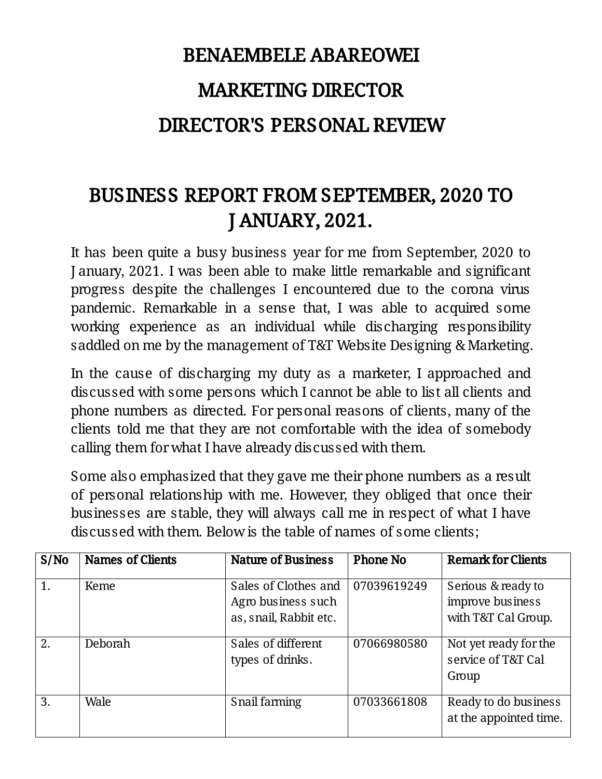# BENAEMBELEABAREOWEI **MARKETING DIRECTOR** DIRECTOR'S PERSONAL REVIEW

## BUSINESS REPORT FROM SEPTEMBER, 2020 TO JANUARY,2021.

It has been quite a busy business year for me from September, 2020 to January, 2021. I was been able to make little remarkable and significant progress despite the challenges I encountered due to the corona virus pandemic. Remarkable in a sense that, I was able to acquired some working experience as an individual while discharging responsibility saddled on me by the management of T&T Website Designing & Marketing.

In the cause of discharging my duty as a marketer, I approached and discussed with some persons which I cannot be able to list all clients and phone numbers as directed. For personal reasons of clients, many of the clients told me that they are not comfortable with the idea of somebody calling them for what I have already discussed with them.

Some also emphasized that they gave me their phone numbers as a result of personal relationship with me. However, they obliged that once their businesses are stable, they will always call me in respect of what I have discussed with them. Below is the table of names of some clients;

| S/No | <b>Names of Clients</b> | <b>Nature of Business</b>                                            | <b>Phone No</b> | <b>Remark for Clients</b>                                     |
|------|-------------------------|----------------------------------------------------------------------|-----------------|---------------------------------------------------------------|
| 1.   | Keme                    | Sales of Clothes and<br>Agro business such<br>as, snail, Rabbit etc. | 07039619249     | Serious & ready to<br>improve business<br>with T&T Cal Group. |
| 2.   | <b>Deborah</b>          | Sales of different<br>types of drinks.                               | 07066980580     | Not yet ready for the<br>service of T&T Cal<br>Group          |
| 3.   | Wale                    | Snail farming                                                        | 07033661808     | Ready to do business<br>at the appointed time.                |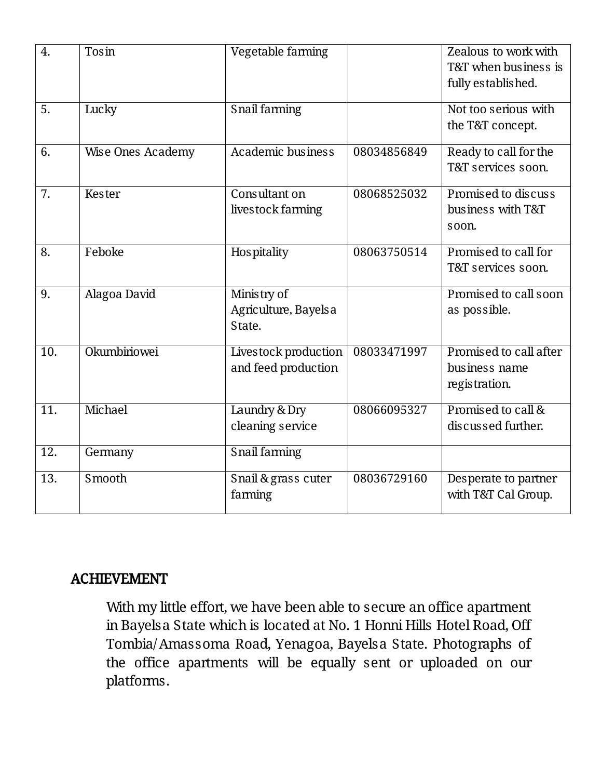| 4.                | Tosin             | Vegetable farming                             |             | Zealous to work with<br>T&T when business is<br>fully established. |
|-------------------|-------------------|-----------------------------------------------|-------------|--------------------------------------------------------------------|
| 5.                | Lucky             | Snail farming                                 |             | Not too serious with<br>the T&T concept.                           |
| 6.                | Wise Ones Academy | Academic business                             | 08034856849 | Ready to call for the<br>T&T services soon.                        |
| 7.                | Kester            | Consultant on<br>livestock farming            | 08068525032 | Promised to discuss<br>business with T&T<br>soon.                  |
| 8.                | Feboke            | Hospitality                                   | 08063750514 | Promised to call for<br>T&T services soon.                         |
| 9.                | Alagoa David      | Ministry of<br>Agriculture, Bayelsa<br>State. |             | Promised to call soon<br>as possible.                              |
| 10.               | Okumbiriowei      | Livestock production<br>and feed production   | 08033471997 | Promised to call after<br>business name<br>registration.           |
| $\overline{11}$ . | Michael           | Laundry & Dry<br>cleaning service             | 08066095327 | Promised to call &<br>discussed further.                           |
| 12.               | Germany           | Snail farming                                 |             |                                                                    |
| 13.               | Smooth            | Snail & grass cuter<br>farming                | 08036729160 | Desperate to partner<br>with T&T Cal Group.                        |

### ACHIEVEMENT

With my little effort, we have been able to secure an office apartment in Bayelsa State which is located at No. 1 Honni Hills Hotel Road, Off Tombia/Amassoma Road, Yenagoa, Bayelsa State. Photographs of the office apartments will be equally sent or uploaded on our platforms.